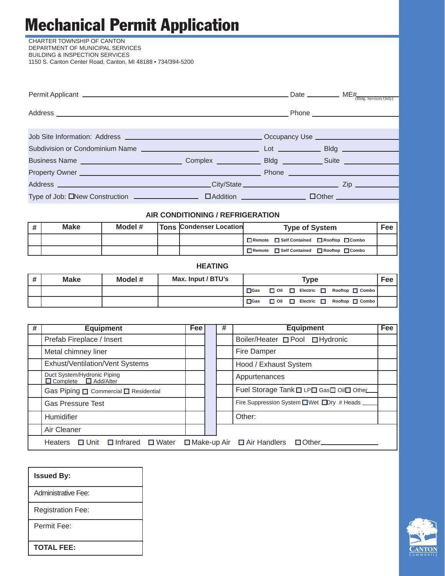# Mechanical Permit Application

CHARTER TOWNSHIP OF CANTON DEPARTMENT OF MUNICIPAL SERVICES BUILDING & INSPECTION SERVICES 1150 S. Canton Center Road, Canton, MI 48188 • 734/394-5200

| Permit Applicant $\frac{H}{(B \log_{2} S \text{ devices only})}$                                                                     |                                  |  |  |
|--------------------------------------------------------------------------------------------------------------------------------------|----------------------------------|--|--|
|                                                                                                                                      |                                  |  |  |
|                                                                                                                                      |                                  |  |  |
|                                                                                                                                      |                                  |  |  |
|                                                                                                                                      |                                  |  |  |
|                                                                                                                                      |                                  |  |  |
|                                                                                                                                      |                                  |  |  |
| Address <b>Example 2018</b> 2019 12:00:00 City/State <b>City/State <u>Contract City</u> City/State 2008</b> 2009 2019 2019 2019 2019 |                                  |  |  |
|                                                                                                                                      |                                  |  |  |
|                                                                                                                                      | AIR CONDITIONING / REFRIGERATION |  |  |

| # | <b>Make</b> | Model # | <b>Tons Condenser Location</b> | <b>Type of System</b>                      | <b>Fee</b> |
|---|-------------|---------|--------------------------------|--------------------------------------------|------------|
|   |             |         |                                | ■Remote ■ Self Contained ■ Rooftop ■ Combo |            |
|   |             |         |                                | ■Remote ■ Self Contained ■ Rooftop ■ Combo |            |

| i # | <b>Make</b> | Model # | Max. Input / BTU's |            |              |        | Type |  |                                                      | Fee . |
|-----|-------------|---------|--------------------|------------|--------------|--------|------|--|------------------------------------------------------|-------|
|     |             |         |                    | $\Box$ Gas | <b>⊟</b> oil |        |      |  | Electric <b>Department</b> Rooftop <b>Department</b> |       |
|     |             |         |                    | $\Box$ Gas | <b>□</b> oil | $\Box$ |      |  | Electric □ Rooftop □ Combo                           |       |

**HEATING**

| # | <b>Equipment</b>                                                | <b>Fee</b> | # | <b>Equipment</b>                              | <b>Fee</b> |
|---|-----------------------------------------------------------------|------------|---|-----------------------------------------------|------------|
|   | Prefab Fireplace / Insert                                       |            |   | Boiler/Heater □ Pool □ Hydronic               |            |
|   | Metal chimney liner                                             |            |   | Fire Damper                                   |            |
|   | Exhust/Ventilation/Vent Systems                                 |            |   | Hood / Exhaust System                         |            |
|   | Duct System/Hydronic Piping<br>$\Box$ Complete $\Box$ Add/Alter |            |   | Appurtenances                                 |            |
|   | Gas Piping <b>D</b> Commercial <b>D</b> Residential             |            |   | Fuel Storage Tank I LPI Gas I Oil Other       |            |
|   | <b>Gas Pressure Test</b>                                        |            |   | Fire Suppression System ■ Wet ■ Dry # Heads ■ |            |
|   | Humidifier                                                      |            |   | Other:                                        |            |
|   | Air Cleaner                                                     |            |   |                                               |            |
|   | Heaters $\Box$ Unit $\Box$ Infrared $\Box$ Water                |            |   | □ Make-up Air □ Air Handlers □ Other          |            |

| <b>Issued By:</b>        |
|--------------------------|
| Administrative Fee:      |
| <b>Registration Fee:</b> |
| Permit Fee:              |
| <b>TOTAL FEE:</b>        |

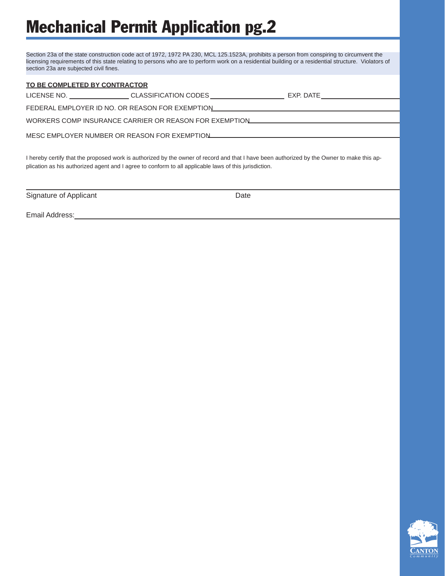## Mechanical Permit Application pg.2

Section 23a of the state construction code act of 1972, 1972 PA 230, MCL 125.1523A, prohibits a person from conspiring to circumvent the licensing requirements of this state relating to persons who are to perform work on a residential building or a residential structure. Violators of section 23a are subjected civil fines.

#### **TO BE COMPLETED BY CONTRACTOR**

LICENSE NO. \_\_\_\_\_\_\_\_\_\_\_\_\_\_\_\_\_\_\_CLASSIFICATION CODES \_\_\_\_\_\_\_\_\_\_\_\_\_\_\_\_\_\_\_\_\_\_\_\_\_\_\_\_ EXP. DATE \_\_\_\_\_\_\_\_\_\_\_\_\_\_\_\_\_\_

FEDERAL EMPLOYER ID NO. OR REASON FOR EXEMPTION

WORKERS COMP INSURANCE CARRIER OR REASON FOR EXEMPTION

MESC EMPLOYER NUMBER OR REASON FOR EXEMPTION

I hereby certify that the proposed work is authorized by the owner of record and that I have been authorized by the Owner to make this application as his authorized agent and I agree to conform to all applicable laws of this jurisdiction.

Signature of Applicant **Date** Date **Date** 

Email Address:

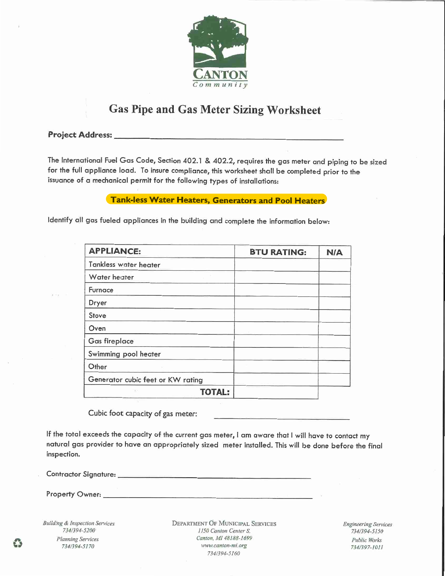

### **Gas Pipe and Gas Meter Sizing Worksheet**

#### **Project Address:**

The International Fuel Gas Code, Section 402.1 & 402.2, requires the gas meter and piping to be sized for the full appliance load. To insure compliance, this worksheet shall be completed prior to the issuance of a mechanical permit for the following types of installations:

#### **Tank-less Water Heaters, Generators and Pool Heaters**

Identify all gas fueled appliances in the building and complete the information below:

| <b>APPLIANCE:</b>                 | <b>BTU RATING:</b> | <b>N/A</b> |
|-----------------------------------|--------------------|------------|
| Tankless water heater             |                    |            |
| Water heater                      |                    |            |
| Furnace                           |                    |            |
| Dryer                             |                    |            |
| Stove                             |                    |            |
| Oven                              |                    |            |
| <b>Gas fireplace</b>              |                    |            |
| Swimming pool heater              |                    |            |
| Other                             |                    |            |
| Generator cubic feet or KW rating |                    |            |
| <b>TOTAL:</b><br>XX               |                    |            |

Cubic foot capacity of gas meter:

If the total exceeds the capacity of the current gas meter, I am aware that I will have to contact my natural gas provider to have an appropriately sized meter installed. This will be done before the final inspection.

Contractor Signature: University of Contractor Signature:

Property Owner: New York Changes and the Changes of the Changes of the Changes of the Changes of the Changes of the Changes of the Changes of the Changes of the Changes of the Changes of the Changes of the Changes of the C

**Building & Inspection Services** 734/394-5200 **Planning Services** 734/394-5170

**DEPARTMENT OF MUNICIPAL SERVICES** 1150 Canton Center S. Canton, MI 48188-1699 www.canton-mi.org 734/394-5160

**Engineering Services** 734/394-5150 **Public Works** 734/397-1011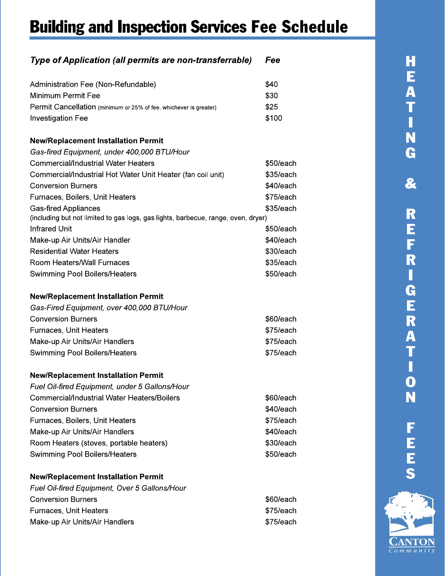## **Building and Inspection Services Fee Schedule**

#### Type of Application (all permits are non-transferrable) Fee Administration Fee (Non-Refundable) \$40 Minimum Permit Fee \$30 \$25 Permit Cancellation (minimum or 25% of fee, whichever is greater) **Investigation Fee** \$100 **New/Replacement Installation Permit** Gas-fired Equipment, under 400,000 BTU/Hour **Commercial/Industrial Water Heaters** \$50/each Commercial/Industrial Hot Water Unit Heater (fan coil unit) \$35/each **Conversion Burners** \$40/each Furnaces, Boilers, Unit Heaters \$75/each **Gas-fired Appliances** \$35/each (including but not limited to gas logs, gas lights, barbecue, range, oven, dryer) **Infrared Unit** \$50/each Make-up Air Units/Air Handler \$40/each **Residential Water Heaters** \$30/each Room Heaters/Wall Furnaces \$35/each **Swimming Pool Boilers/Heaters** \$50/each **New/Replacement Installation Permit** Gas-Fired Equipment, over 400,000 BTU/Hour **Conversion Burners** \$60/each Furnaces, Unit Heaters \$75/each Make-up Air Units/Air Handlers \$75/each Swimming Pool Boilers/Heaters \$75/each **New/Replacement Installation Permit** Fuel Oil-fired Equipment, under 5 Gallons/Hour

| <b>Commercial/Industrial Water Heaters/Boilers</b> | \$60/each |
|----------------------------------------------------|-----------|
| <b>Conversion Burners</b>                          | \$40/each |
| Furnaces, Boilers, Unit Heaters                    | \$75/each |
| Make-up Air Units/Air Handlers                     | \$40/each |
| Room Heaters (stoves, portable heaters)            | \$30/each |
| <b>Swimming Pool Boilers/Heaters</b>               | \$50/each |
|                                                    |           |

#### **New/Replacement Installation Permit**

| Fuel Oil-fired Equipment, Over 5 Gallons/Hour |           |
|-----------------------------------------------|-----------|
| <b>Conversion Burners</b>                     | \$60/each |
| Furnaces, Unit Heaters                        | \$75/each |
| Make-up Air Units/Air Handlers                | \$75/each |

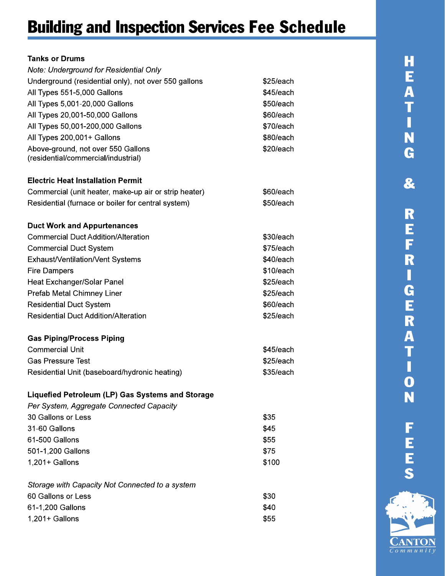### **Building and Inspection Services Fee Schedule**

| <b>Tanks or Drums</b>                                 |           |
|-------------------------------------------------------|-----------|
| Note: Underground for Residential Only                |           |
| Underground (residential only), not over 550 gallons  | \$25/each |
| All Types 551-5,000 Gallons                           | \$45/each |
| All Types 5,001-20,000 Gallons                        | \$50/each |
| All Types 20,001-50,000 Gallons                       | \$60/each |
| All Types 50,001-200,000 Gallons                      | \$70/each |
| All Types 200,001+ Gallons                            | \$80/each |
| Above-ground, not over 550 Gallons                    | \$20/each |
| (residential/commercial/industrial)                   |           |
| <b>Electric Heat Installation Permit</b>              |           |
| Commercial (unit heater, make-up air or strip heater) | \$60/each |
| Residential (furnace or boiler for central system)    | \$50/each |
| <b>Duct Work and Appurtenances</b>                    |           |
| <b>Commercial Duct Addition/Alteration</b>            | \$30/each |
| <b>Commercial Duct System</b>                         | \$75/each |
| Exhaust/Ventilation/Vent Systems                      | \$40/each |
| <b>Fire Dampers</b>                                   | \$10/each |
| Heat Exchanger/Solar Panel                            | \$25/each |
| Prefab Metal Chimney Liner                            | \$25/each |
| <b>Residential Duct System</b>                        | \$60/each |
| <b>Residential Duct Addition/Alteration</b>           | \$25/each |
| <b>Gas Piping/Process Piping</b>                      |           |
| <b>Commercial Unit</b>                                | \$45/each |
| <b>Gas Pressure Test</b>                              | \$25/each |
| Residential Unit (baseboard/hydronic heating)         | \$35/each |
| Liquefied Petroleum (LP) Gas Systems and Storage      |           |
| Per System, Aggregate Connected Capacity              |           |
| 30 Gallons or Less                                    | \$35      |
| 31-60 Gallons                                         | \$45      |
| 61-500 Gallons                                        | \$55      |
| 501-1,200 Gallons                                     | \$75      |
| $1,201+$ Gallons                                      | \$100     |
| Storage with Capacity Not Connected to a system       |           |
| 60 Gallons or Less                                    | \$30      |
| 61-1,200 Gallons                                      | \$40      |
| $1,201+$ Gallons                                      | \$55      |